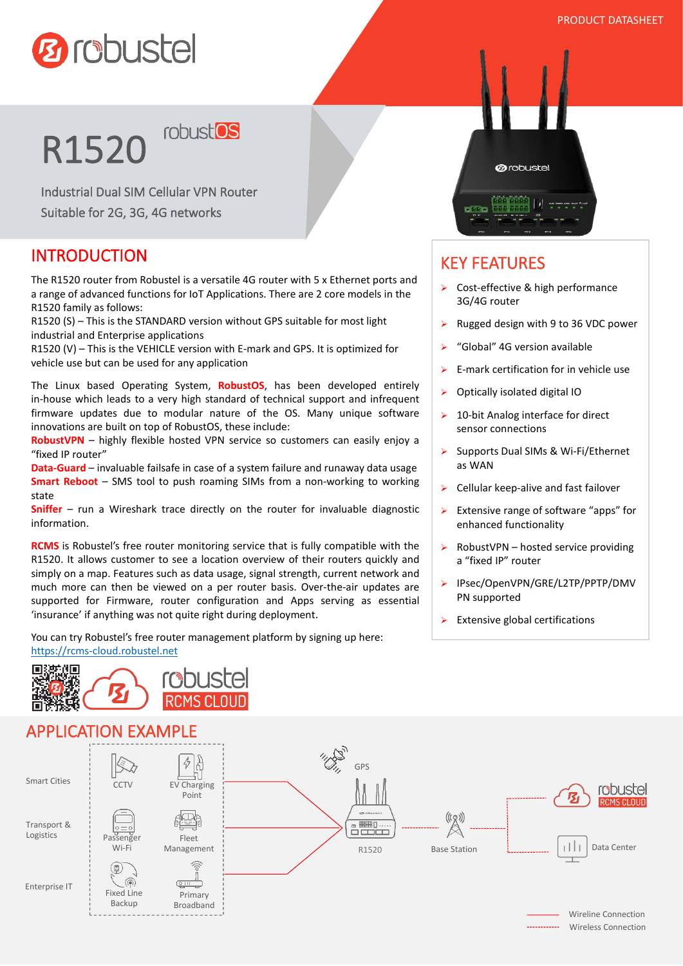

# R1520 robustos

Industrial Dual SIM Cellular VPN Router Suitable for 2G, 3G, 4G networks

#### **INTRODUCTION**

如

The R1520 router from Robustel is a versatile 4G router with 5 x Ethernet ports and a range of advanced functions for IoT Applications. There are 2 core models in the R1520 family as follows:

R1520 (S) – This is the STANDARD version without GPS suitable for most light industrial and Enterprise applications

R1520 (V) – This is the VEHICLE version with E-mark and GPS. It is optimized for vehicle use but can be used for any application

The Linux based Operating System, **RobustOS**, has been developed entirely in-house which leads to a very high standard of technical support and infrequent firmware updates due to modular nature of the OS. Many unique software innovations are built on top of RobustOS, these include:

**RobustVPN** – highly flexible hosted VPN service so customers can easily enjoy a "fixed IP router"

**Data-Guard** – invaluable failsafe in case of a system failure and runaway data usage **Smart Reboot** – SMS tool to push roaming SIMs from a non-working to working state

**Sniffer** – run a Wireshark trace directly on the router for invaluable diagnostic information.

**RCMS** is Robustel's free router monitoring service that is fully compatible with the R1520. It allows customer to see a location overview of their routers quickly and simply on a map. Features such as data usage, signal strength, current network and much more can then be viewed on a per router basis. Over-the-air updates are supported for Firmware, router configuration and Apps serving as essential 'insurance' if anything was not quite right during deployment.

You can try Robustel's free router management platform by signing up here: <https://rcms-cloud.robustel.net>

**Phuste** 



### KEY FEATURES

- $\triangleright$  Cost-effective & high performance 3G/4G router
- $\triangleright$  Rugged design with 9 to 36 VDC power
- $\triangleright$  "Global" 4G version available
- $\triangleright$  E-mark certification for in vehicle use
- $\triangleright$  Optically isolated digital IO
- $\geq 10$ -bit Analog interface for direct sensor connections
- > Supports Dual SIMs & Wi-Fi/Ethernet as WAN
- $\triangleright$  Cellular keep-alive and fast failover
- $\triangleright$  Extensive range of software "apps" for enhanced functionality
- $\triangleright$  RobustVPN hosted service providing a "fixed IP" router
- > IPsec/OpenVPN/GRE/L2TP/PPTP/DMV PN supported
- $\triangleright$  Extensive global certifications